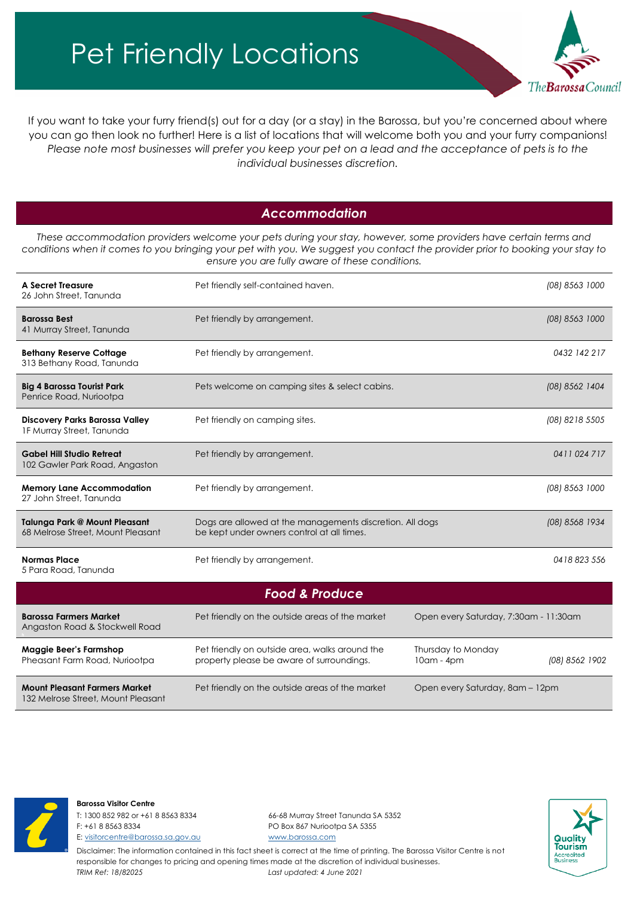## Pet Friendly Locations



If you want to take your furry friend(s) out for a day (or a stay) in the Barossa, but you're concerned about where you can go then look no further! Here is a list of locations that will welcome both you and your furry companions! *Please note most businesses will prefer you keep your pet on a lead and the acceptance of pets is to the individual businesses discretion.*

## *Accommodation*

*These accommodation providers welcome your pets during your stay, however, some providers have certain terms and conditions when it comes to you bringing your pet with you. We suggest you contact the provider prior to booking your stay to ensure you are fully aware of these conditions.*

| A Secret Treasure<br>26 John Street, Tanunda                               | Pet friendly self-contained haven.                                                                     |                                       | (08) 8563 1000 |  |  |
|----------------------------------------------------------------------------|--------------------------------------------------------------------------------------------------------|---------------------------------------|----------------|--|--|
| <b>Barossa Best</b><br>41 Murray Street, Tanunda                           | Pet friendly by arrangement.                                                                           |                                       | (08) 8563 1000 |  |  |
| <b>Bethany Reserve Cottage</b><br>313 Bethany Road, Tanunda                | Pet friendly by arrangement.                                                                           |                                       | 0432 142 217   |  |  |
| <b>Big 4 Barossa Tourist Park</b><br>Penrice Road, Nuriootpa               | Pets welcome on camping sites & select cabins.                                                         |                                       | (08) 8562 1404 |  |  |
| Discovery Parks Barossa Valley<br>1F Murray Street, Tanunda                | Pet friendly on camping sites.                                                                         |                                       | (08) 8218 5505 |  |  |
| <b>Gabel Hill Studio Retreat</b><br>102 Gawler Park Road, Angaston         | Pet friendly by arrangement.                                                                           |                                       | 0411024717     |  |  |
| <b>Memory Lane Accommodation</b><br>27 John Street, Tanunda                | Pet friendly by arrangement.                                                                           |                                       | (08) 8563 1000 |  |  |
| <b>Talunga Park @ Mount Pleasant</b><br>68 Melrose Street, Mount Pleasant  | Dogs are allowed at the managements discretion. All dogs<br>be kept under owners control at all times. |                                       | (08) 8568 1934 |  |  |
| <b>Normas Place</b><br>5 Para Road, Tanunda                                | Pet friendly by arrangement.                                                                           |                                       | 0418823556     |  |  |
| <b>Food &amp; Produce</b>                                                  |                                                                                                        |                                       |                |  |  |
| <b>Barossa Farmers Market</b><br>Angaston Road & Stockwell Road            | Pet friendly on the outside areas of the market                                                        | Open every Saturday, 7:30am - 11:30am |                |  |  |
| <b>Maggie Beer's Farmshop</b><br>Pheasant Farm Road, Nuriootpa             | Pet friendly on outside area, walks around the<br>property please be aware of surroundings.            | Thursday to Monday<br>10am - 4pm      | (08) 8562 1902 |  |  |
| <b>Mount Pleasant Farmers Market</b><br>132 Melrose Street, Mount Pleasant | Pet friendly on the outside areas of the market                                                        | Open every Saturday, 8am - 12pm       |                |  |  |



#### **Barossa Visitor Centre**

T: 1300 852 982 or +61 8 8563 8334 66-68 Murray Street Tanunda SA 5352 F: +61 8 8563 8334 PO Box 867 Nuriootpa SA 5355 E[: visitorcentre@barossa.sa.gov.au](mailto:visitorcentre@barossa.sa.gov.au) [www.barossa.com](http://www.barossa.com/)



Disclaimer: The information contained in this fact sheet is correct at the time of printing. The Barossa Visitor Centre is not responsible for changes to pricing and opening times made at the discretion of individual businesses. *TRIM Ref: 18/82025 Last updated: 4 June 2021*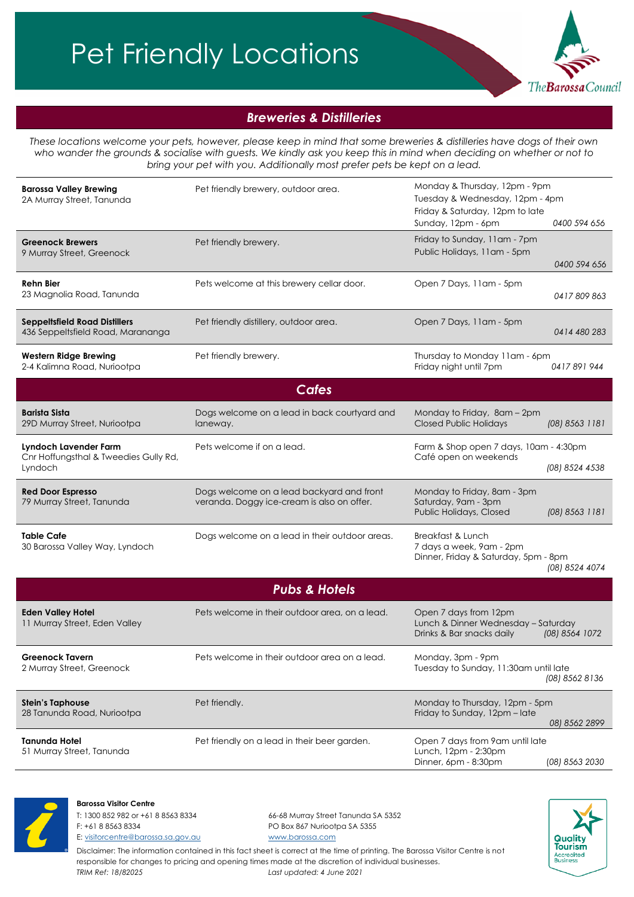# Pet Friendly Locations



## *Breweries & Distilleries*

*These locations welcome your pets, however, please keep in mind that some breweries & distilleries have dogs of their own who wander the grounds & socialise with guests. We kindly ask you keep this in mind when deciding on whether or not to bring your pet with you. Additionally most prefer pets be kept on a lead.*

| <b>Barossa Valley Brewing</b><br>2A Murray Street, Tanunda                | Pet friendly brewery, outdoor area.                                                     | Monday & Thursday, 12pm - 9pm<br>Tuesday & Wednesday, 12pm - 4pm<br>Friday & Saturday, 12pm to late<br>Sunday, 12pm - 6pm<br>0400 594 656 |  |  |
|---------------------------------------------------------------------------|-----------------------------------------------------------------------------------------|-------------------------------------------------------------------------------------------------------------------------------------------|--|--|
| <b>Greenock Brewers</b><br>9 Murray Street, Greenock                      | Pet friendly brewery.                                                                   | Friday to Sunday, 11am - 7pm<br>Public Holidays, 11am - 5pm<br>0400 594 656                                                               |  |  |
| <b>Rehn Bier</b><br>23 Magnolia Road, Tanunda                             | Pets welcome at this brewery cellar door.                                               | Open 7 Days, 11am - 5pm<br>0417809863                                                                                                     |  |  |
| <b>Seppeltsfield Road Distillers</b><br>436 Seppeltsfield Road, Marananga | Pet friendly distillery, outdoor area.                                                  | Open 7 Days, 11am - 5pm<br>0414 480 283                                                                                                   |  |  |
| <b>Western Ridge Brewing</b><br>2-4 Kalimna Road, Nuriootpa               | Pet friendly brewery.                                                                   | Thursday to Monday 11am - 6pm<br>Friday night until 7pm<br>0417891944                                                                     |  |  |
|                                                                           | <b>Cafes</b>                                                                            |                                                                                                                                           |  |  |
| <b>Barista Sista</b><br>29D Murray Street, Nuriootpa                      | Dogs welcome on a lead in back courtyard and<br>laneway.                                | Monday to Friday, 8am - 2pm<br><b>Closed Public Holidays</b><br>(08) 8563 1181                                                            |  |  |
| Lyndoch Lavender Farm<br>Cnr Hoffungsthal & Tweedies Gully Rd,<br>Lyndoch | Pets welcome if on a lead.                                                              | Farm & Shop open 7 days, 10am - 4:30pm<br>Café open on weekends<br>(08) 8524 4538                                                         |  |  |
| <b>Red Door Espresso</b><br>79 Murray Street, Tanunda                     | Dogs welcome on a lead backyard and front<br>veranda. Doggy ice-cream is also on offer. | Monday to Friday, 8am - 3pm<br>Saturday, 9am - 3pm<br>Public Holidays, Closed<br>(08) 8563 1181                                           |  |  |
| <b>Table Cafe</b><br>30 Barossa Valley Way, Lyndoch                       | Dogs welcome on a lead in their outdoor areas.                                          | Breakfast & Lunch<br>7 days a week, 9am - 2pm<br>Dinner, Friday & Saturday, 5pm - 8pm<br>(08) 8524 4074                                   |  |  |
| <b>Pubs &amp; Hotels</b>                                                  |                                                                                         |                                                                                                                                           |  |  |
| <b>Eden Valley Hotel</b><br>11 Murray Street, Eden Valley                 | Pets welcome in their outdoor area, on a lead.                                          | Open 7 days from 12pm<br>Lunch & Dinner Wednesday - Saturday<br>Drinks & Bar snacks daily<br>(08) 8564 1072                               |  |  |

**Greenock Tavern** 2 Murray Street, Greenock Pets welcome in their outdoor area on a lead. Monday, 3pm - 9pm Tuesday to Sunday, 11:30am until late  *(08) 8562 8136* **Stein's Taphouse** 28 Tanunda Road, Nuriootpa Pet friendly. The matrix of the matrix of the Monday to Thursday, 12pm - 5pm Friday to Sunday, 12pm – late *( 08) 8562 2899* **Tanunda Hotel** 51 Murray Street, Tanunda Pet friendly on a lead in their beer garden. Open 7 days from 9am until late Lunch, 12pm - 2:30pm Dinner, 6pm - 8:30pm (*08) 8563 2030*



**Barossa Visitor Centre**

T: 1300 852 982 or +61 8 8563 8334 66-68 Murray Street Tanunda SA 5352 F: +61 8 8563 8334 PO Box 867 Nuriootpa SA 5355 E[: visitorcentre@barossa.sa.gov.au](mailto:visitorcentre@barossa.sa.gov.au) [www.barossa.com](http://www.barossa.com/)



Disclaimer: The information contained in this fact sheet is correct at the time of printing. The Barossa Visitor Centre is not responsible for changes to pricing and opening times made at the discretion of individual businesses. *TRIM Ref: 18/82025 Last updated: 4 June 2021*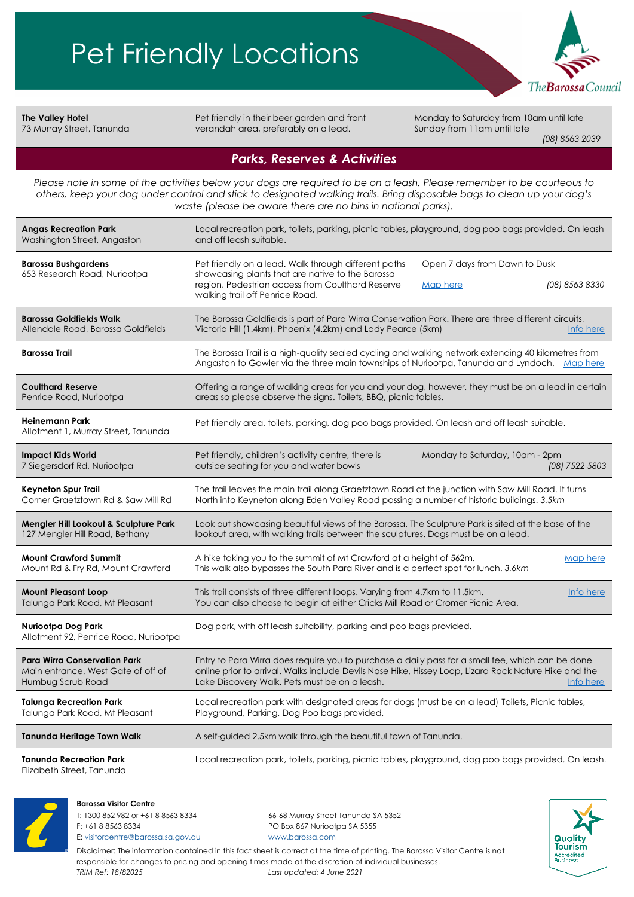

**The Valley Hotel** 73 Murray Street, Tanunda

Pet friendly in their beer garden and front verandah area, preferably on a lead.

Monday to Saturday from 10am until late Sunday from 11am until late

 *(08) 8563 2039*

### *Parks, Reserves & Activities*

*Please note in some of the activities below your dogs are required to be on a leash. Please remember to be courteous to others, keep your dog under control and stick to designated walking trails. Bring disposable bags to clean up your dog's waste (please be aware there are no bins in national parks).*

| <b>Angas Recreation Park</b><br>Washington Street, Angaston                                    | Local recreation park, toilets, parking, picnic tables, playground, dog poo bags provided. On leash<br>and off leash suitable.                                                                                                                                          |  |
|------------------------------------------------------------------------------------------------|-------------------------------------------------------------------------------------------------------------------------------------------------------------------------------------------------------------------------------------------------------------------------|--|
| <b>Barossa Bushgardens</b><br>653 Research Road, Nuriootpa                                     | Pet friendly on a lead. Walk through different paths<br>Open 7 days from Dawn to Dusk<br>showcasing plants that are native to the Barossa<br>region. Pedestrian access from Coulthard Reserve<br>(08) 8563 8330<br>Map here<br>walking trail off Penrice Road.          |  |
| <b>Barossa Goldfields Walk</b><br>Allendale Road, Barossa Goldfields                           | The Barossa Goldfields is part of Para Wirra Conservation Park. There are three different circuits,<br>Victoria Hill (1.4km), Phoenix (4.2km) and Lady Pearce (5km)<br>Info here                                                                                        |  |
| <b>Barossa Trail</b>                                                                           | The Barossa Trail is a high-quality sealed cycling and walking network extending 40 kilometres from<br>Angaston to Gawler via the three main townships of Nuriootpa, Tanunda and Lyndoch. Map here                                                                      |  |
| <b>Coulthard Reserve</b><br>Penrice Road, Nuriootpa                                            | Offering a range of walking areas for you and your dog, however, they must be on a lead in certain<br>areas so please observe the signs. Toilets, BBQ, picnic tables.                                                                                                   |  |
| <b>Heinemann Park</b><br>Allotment 1, Murray Street, Tanunda                                   | Pet friendly area, toilets, parking, dog poo bags provided. On leash and off leash suitable.                                                                                                                                                                            |  |
| <b>Impact Kids World</b><br>7 Siegersdorf Rd, Nuriootpa                                        | Monday to Saturday, 10am - 2pm<br>Pet friendly, children's activity centre, there is<br>outside seating for you and water bowls<br>(08) 7522 5803                                                                                                                       |  |
| <b>Keyneton Spur Trail</b><br>Corner Graetztown Rd & Saw Mill Rd                               | The trail leaves the main trail along Graetztown Road at the junction with Saw Mill Road. It turns<br>North into Keyneton along Eden Valley Road passing a number of historic buildings. 3.5km                                                                          |  |
| Mengler Hill Lookout & Sculpture Park<br>127 Mengler Hill Road, Bethany                        | Look out showcasing beautiful views of the Barossa. The Sculpture Park is sited at the base of the<br>lookout area, with walking trails between the sculptures. Dogs must be on a lead.                                                                                 |  |
| <b>Mount Crawford Summit</b><br>Mount Rd & Fry Rd, Mount Crawford                              | A hike taking you to the summit of Mt Crawford at a height of 562m.<br>Map here<br>This walk also bypasses the South Para River and is a perfect spot for lunch. 3.6km                                                                                                  |  |
| <b>Mount Pleasant Loop</b><br>Talunga Park Road, Mt Pleasant                                   | This trail consists of three different loops. Varying from 4.7km to 11.5km.<br>Info here<br>You can also choose to begin at either Cricks Mill Road or Cromer Picnic Area.                                                                                              |  |
| Nuriootpa Dog Park<br>Allotment 92, Penrice Road, Nuriootpa                                    | Dog park, with off leash suitability, parking and poo bags provided.                                                                                                                                                                                                    |  |
| <b>Para Wirra Conservation Park</b><br>Main entrance, West Gate of off of<br>Humbug Scrub Road | Entry to Para Wirra does require you to purchase a daily pass for a small fee, which can be done<br>online prior to arrival. Walks include Devils Nose Hike, Hissey Loop, Lizard Rock Nature Hike and the<br>Lake Discovery Walk. Pets must be on a leash.<br>Info here |  |
| <b>Talunga Recreation Park</b><br>Talunga Park Road, Mt Pleasant                               | Local recreation park with designated areas for dogs (must be on a lead) Toilets, Picnic tables,<br>Playground, Parking, Dog Poo bags provided,                                                                                                                         |  |
| Tanunda Heritage Town Walk                                                                     | A self-guided 2.5km walk through the beautiful town of Tanunda.                                                                                                                                                                                                         |  |
| <b>Tanunda Recreation Park</b><br>Elizabeth Street, Tanunda                                    | Local recreation park, toilets, parking, picnic tables, playground, dog poo bags provided. On leash.                                                                                                                                                                    |  |

#### **Barossa Visitor Centre** T: 1300 852 982 or +61 8 8563 8334 66-68 Murray Street Tanunda SA 5352 F: +61 8 8563 8334 PO Box 867 Nuriootpa SA 5355



Disclaimer: The information contained in this fact sheet is correct at the time of printing. The Barossa Visitor Centre is not responsible for changes to pricing and opening times made at the discretion of individual businesses. *TRIM Ref: 18/82025 Last updated: 4 June 2021*

E[: visitorcentre@barossa.sa.gov.au](mailto:visitorcentre@barossa.sa.gov.au) [www.barossa.com](http://www.barossa.com/)